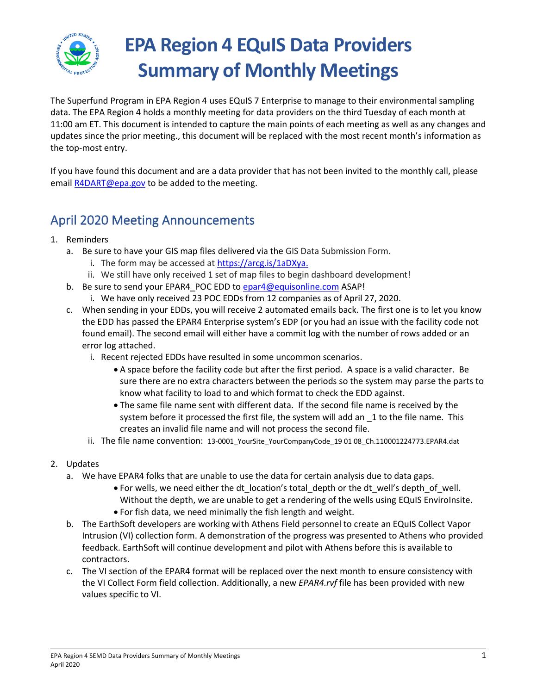

# **EPA Region 4 EQuIS Data Providers Summary of Monthly Meetings**

The Superfund Program in EPA Region 4 uses EQuIS 7 Enterprise to manage to their environmental sampling data. The EPA Region 4 holds a monthly meeting for data providers on the third Tuesday of each month at 11:00 am ET. This document is intended to capture the main points of each meeting as well as any changes and updates since the prior meeting., this document will be replaced with the most recent month's information as the top-most entry.

If you have found this document and are a data provider that has not been invited to the monthly call, please emai[l R4DART@epa.gov](mailto:R4DART@epa.gov) to be added to the meeting.

## April 2020 Meeting Announcements

- 1. Reminders
	- a. Be sure to have your GIS map files delivered via the GIS Data Submission Form.
		- i. The form may be accessed a[t https://arcg.is/1aDXya.](https://arcg.is/1aDXya)
		- ii. We still have only received 1 set of map files to begin dashboard development!
	- b. Be sure to send your EPAR4\_POC EDD to [epar4@equisonline.com](mailto:epar4@equisonline.com) ASAP!
		- i. We have only received 23 POC EDDs from 12 companies as of April 27, 2020.
	- c. When sending in your EDDs, you will receive 2 automated emails back. The first one is to let you know the EDD has passed the EPAR4 Enterprise system's EDP (or you had an issue with the facility code not found email). The second email will either have a commit log with the number of rows added or an error log attached.
		- i. Recent rejected EDDs have resulted in some uncommon scenarios.
			- A space before the facility code but after the first period. A space is a valid character. Be sure there are no extra characters between the periods so the system may parse the parts to know what facility to load to and which format to check the EDD against.
			- The same file name sent with different data. If the second file name is received by the system before it processed the first file, the system will add an 1 to the file name. This creates an invalid file name and will not process the second file.
		- ii. The file name convention: 13-0001\_YourSite\_YourCompanyCode\_19 01 08\_Ch.110001224773.EPAR4.dat
- 2. Updates
	- a. We have EPAR4 folks that are unable to use the data for certain analysis due to data gaps.
		- For wells, we need either the dt location's total depth or the dt well's depth of well. Without the depth, we are unable to get a rendering of the wells using EQuIS EnviroInsite.
		- For fish data, we need minimally the fish length and weight.
	- b. The EarthSoft developers are working with Athens Field personnel to create an EQuIS Collect Vapor Intrusion (VI) collection form. A demonstration of the progress was presented to Athens who provided feedback. EarthSoft will continue development and pilot with Athens before this is available to contractors.
	- c. The VI section of the EPAR4 format will be replaced over the next month to ensure consistency with the VI Collect Form field collection. Additionally, a new *EPAR4.rvf* file has been provided with new values specific to VI.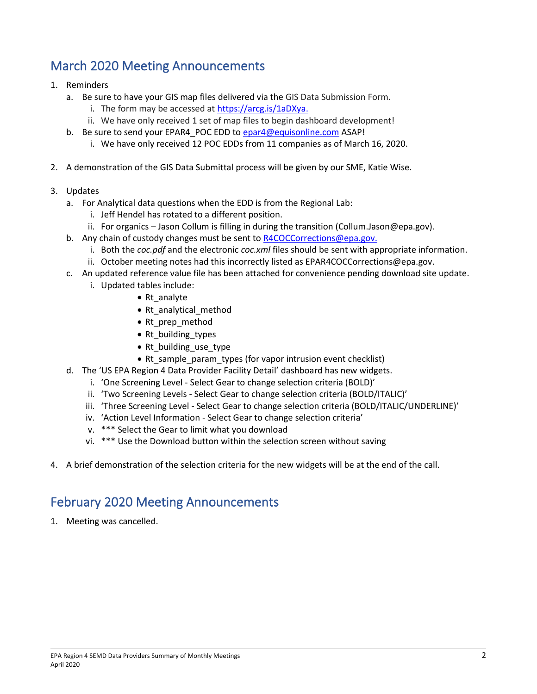## March 2020 Meeting Announcements

- 1. Reminders
	- a. Be sure to have your GIS map files delivered via the GIS Data Submission Form.
		- i. The form may be accessed a[t https://arcg.is/1aDXya.](https://arcg.is/1aDXya)
		- ii. We have only received 1 set of map files to begin dashboard development!
	- b. Be sure to send your EPAR4 POC EDD to [epar4@equisonline.com](mailto:epar4@equisonline.com) ASAP!
		- i. We have only received 12 POC EDDs from 11 companies as of March 16, 2020.
- 2. A demonstration of the GIS Data Submittal process will be given by our SME, Katie Wise.
- 3. Updates
	- a. For Analytical data questions when the EDD is from the Regional Lab:
		- i. Jeff Hendel has rotated to a different position.
		- ii. For organics Jason Collum is filling in during the transition (Collum.Jason@epa.gov).
	- b. Any chain of custody changes must be sent to [R4COCCorrections@epa.gov.](mailto:R4COCCorrections@epa.gov)
		- i. Both the *coc.pdf* and the electronic *coc.xml* files should be sent with appropriate information.
		- ii. October meeting notes had this incorrectly listed as EPAR4COCCorrections@epa.gov.
	- c. An updated reference value file has been attached for convenience pending download site update.
		- i. Updated tables include:
			- Rt\_analyte
			- Rt\_analytical\_method
			- Rt\_prep\_method
			- Rt building types
			- Rt building use type
			- Rt\_sample\_param\_types (for vapor intrusion event checklist)
	- d. The 'US EPA Region 4 Data Provider Facility Detail' dashboard has new widgets.
		- i. 'One Screening Level Select Gear to change selection criteria (BOLD)'
		- ii. 'Two Screening Levels Select Gear to change selection criteria (BOLD/ITALIC)'
		- iii. 'Three Screening Level Select Gear to change selection criteria (BOLD/ITALIC/UNDERLINE)'
		- iv. 'Action Level Information Select Gear to change selection criteria'
		- v. \*\*\* Select the Gear to limit what you download
		- vi. \*\*\* Use the Download button within the selection screen without saving
- 4. A brief demonstration of the selection criteria for the new widgets will be at the end of the call.

### February 2020 Meeting Announcements

1. Meeting was cancelled.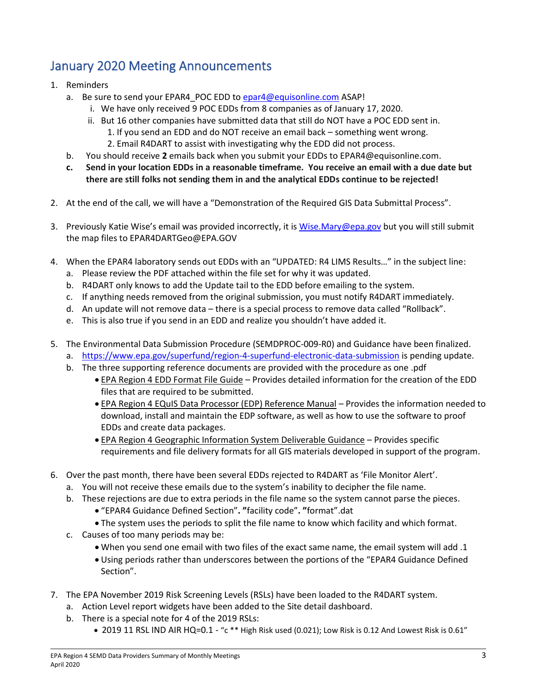# January 2020 Meeting Announcements

- 1. Reminders
	- a. Be sure to send your EPAR4 POC EDD to [epar4@equisonline.com](mailto:epar4@equisonline.com) ASAP!
		- i. We have only received 9 POC EDDs from 8 companies as of January 17, 2020.
		- ii. But 16 other companies have submitted data that still do NOT have a POC EDD sent in. 1. If you send an EDD and do NOT receive an email back – something went wrong. 2. Email R4DART to assist with investigating why the EDD did not process.
	- b. You should receive **2** emails back when you submit your EDDs to EPAR4@equisonline.com.
	- **c. Send in your location EDDs in a reasonable timeframe. You receive an email with a due date but there are still folks not sending them in and the analytical EDDs continue to be rejected!**
- 2. At the end of the call, we will have a "Demonstration of the Required GIS Data Submittal Process".
- 3. Previously Katie Wise's email was provided incorrectly, it is [Wise.Mary@epa.gov](mailto:Wise.Mary@epa.gov) but you will still submit the map files to EPAR4DARTGeo@EPA.GOV
- 4. When the EPAR4 laboratory sends out EDDs with an "UPDATED: R4 LIMS Results…" in the subject line:
	- a. Please review the PDF attached within the file set for why it was updated.
	- b. R4DART only knows to add the Update tail to the EDD before emailing to the system.
	- c. If anything needs removed from the original submission, you must notify R4DART immediately.
	- d. An update will not remove data there is a special process to remove data called "Rollback".
	- e. This is also true if you send in an EDD and realize you shouldn't have added it.
- 5. The Environmental Data Submission Procedure (SEMDPROC-009-R0) and Guidance have been finalized.
	- a. <https://www.epa.gov/superfund/region-4-superfund-electronic-data-submission> is pending update.
	- b. The three supporting reference documents are provided with the procedure as one .pdf
		- EPA Region 4 EDD Format File Guide Provides detailed information for the creation of the EDD files that are required to be submitted.
		- EPA Region 4 EQuIS Data Processor (EDP) Reference Manual Provides the information needed to download, install and maintain the EDP software, as well as how to use the software to proof EDDs and create data packages.
		- EPA Region 4 Geographic Information System Deliverable Guidance Provides specific requirements and file delivery formats for all GIS materials developed in support of the program.
- 6. Over the past month, there have been several EDDs rejected to R4DART as 'File Monitor Alert'.
	- a. You will not receive these emails due to the system's inability to decipher the file name.
	- b. These rejections are due to extra periods in the file name so the system cannot parse the pieces.
		- "EPAR4 Guidance Defined Section"**. "**facility code"**. "**format".dat
		- The system uses the periods to split the file name to know which facility and which format.
	- c. Causes of too many periods may be:
		- When you send one email with two files of the exact same name, the email system will add .1
		- Using periods rather than underscores between the portions of the "EPAR4 Guidance Defined Section".
- 7. The EPA November 2019 Risk Screening Levels (RSLs) have been loaded to the R4DART system.
	- a. Action Level report widgets have been added to the Site detail dashboard.
	- b. There is a special note for 4 of the 2019 RSLs:
		- 2019 11 RSL IND AIR HQ=0.1 "c \*\* High Risk used (0.021); Low Risk is 0.12 And Lowest Risk is 0.61"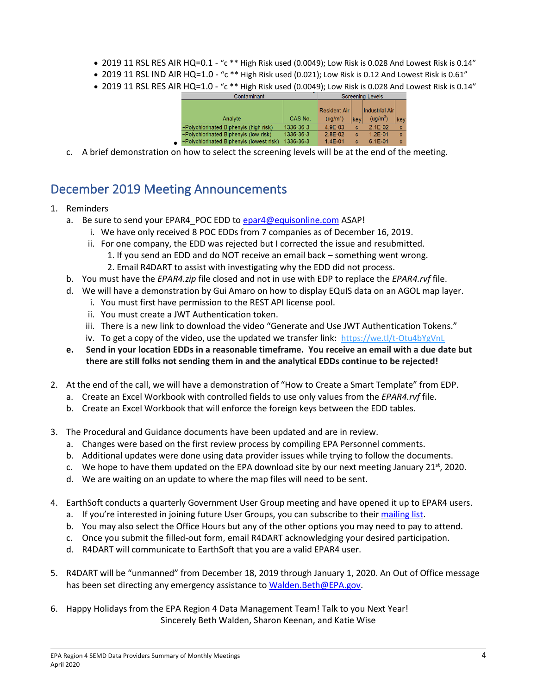- 2019 11 RSL RES AIR HQ=0.1 "c \*\* High Risk used (0.0049); Low Risk is 0.028 And Lowest Risk is 0.14"
- 2019 11 RSL IND AIR HQ=1.0 "c \*\* High Risk used (0.021); Low Risk is 0.12 And Lowest Risk is 0.61"
- 2019 11 RSL RES AIR HQ=1.0 "c \*\* High Risk used (0.0049); Low Risk is 0.028 And Lowest Risk is 0.14"

|           | Contaminant                                 | Screening Levels |                      |     |                        |     |
|-----------|---------------------------------------------|------------------|----------------------|-----|------------------------|-----|
|           |                                             |                  | <b>Resident Air</b>  |     | <b>Industrial Airl</b> |     |
|           | Analyte                                     | CAS No.          | (ug/m <sup>3</sup> ) | key | (ug/m <sup>3</sup> )   | key |
|           | ~Polychlorinated Biphenyls (high risk)      | 1336-36-3        | 4.9F-03              | c   | $2.1E-02$              | c   |
|           | $\sim$ Polychlorinated Biphenyls (low risk) | 1336-36-3        | $2.8E-02$            | c   | $1.2F - 01$            | c   |
| $\bullet$ | ~Polychlorinated Biphenyls (lowest risk)    | 1336-36-3        | $1.4E - 01$          | c   | $6.1E - 01$            | C   |
|           |                                             |                  |                      |     |                        |     |

c. A brief demonstration on how to select the screening levels will be at the end of the meeting.

## December 2019 Meeting Announcements

#### 1. Reminders

- a. Be sure to send your EPAR4\_POC EDD to [epar4@equisonline.com](mailto:epar4@equisonline.com) ASAP!
	- i. We have only received 8 POC EDDs from 7 companies as of December 16, 2019.
	- ii. For one company, the EDD was rejected but I corrected the issue and resubmitted. 1. If you send an EDD and do NOT receive an email back – something went wrong.
		- 2. Email R4DART to assist with investigating why the EDD did not process.
- b. You must have the *EPAR4.zip* file closed and not in use with EDP to replace the *EPAR4.rvf* file.
- d. We will have a demonstration by Gui Amaro on how to display EQuIS data on an AGOL map layer.
	- i. You must first have permission to the REST API license pool.
	- ii. You must create a JWT Authentication token.
	- iii. There is a new link to download the video "Generate and Use JWT Authentication Tokens."
	- iv. To get a copy of the video, use the updated we transfer link: <https://we.tl/t-Otu4bYgVnL>
- **e. Send in your location EDDs in a reasonable timeframe. You receive an email with a due date but there are still folks not sending them in and the analytical EDDs continue to be rejected!**
- 2. At the end of the call, we will have a demonstration of "How to Create a Smart Template" from EDP.
	- a. Create an Excel Workbook with controlled fields to use only values from the *EPAR4.rvf* file.
	- b. Create an Excel Workbook that will enforce the foreign keys between the EDD tables.
- 3. The Procedural and Guidance documents have been updated and are in review.
	- a. Changes were based on the first review process by compiling EPA Personnel comments.
	- b. Additional updates were done using data provider issues while trying to follow the documents.
	- c. We hope to have them updated on the EPA download site by our next meeting January 21st, 2020.
	- d. We are waiting on an update to where the map files will need to be sent.
- 4. EarthSoft conducts a quarterly Government User Group meeting and have opened it up to EPAR4 users.
	- a. If you're interested in joining future User Groups, you can subscribe to thei[r mailing list.](https://earthsoft.us16.list-manage.com/subscribe?u=37901ea741202322d02ccc80b&id=59ed809b70)
	- b. You may also select the Office Hours but any of the other options you may need to pay to attend.
	- c. Once you submit the filled-out form, email R4DART acknowledging your desired participation.
	- d. R4DART will communicate to EarthSoft that you are a valid EPAR4 user.
- 5. R4DART will be "unmanned" from December 18, 2019 through January 1, 2020. An Out of Office message has been set directing any emergency assistance to [Walden.Beth@EPA.gov.](mailto:Walden.Beth@EPA.gov)
- 6. Happy Holidays from the EPA Region 4 Data Management Team! Talk to you Next Year! Sincerely Beth Walden, Sharon Keenan, and Katie Wise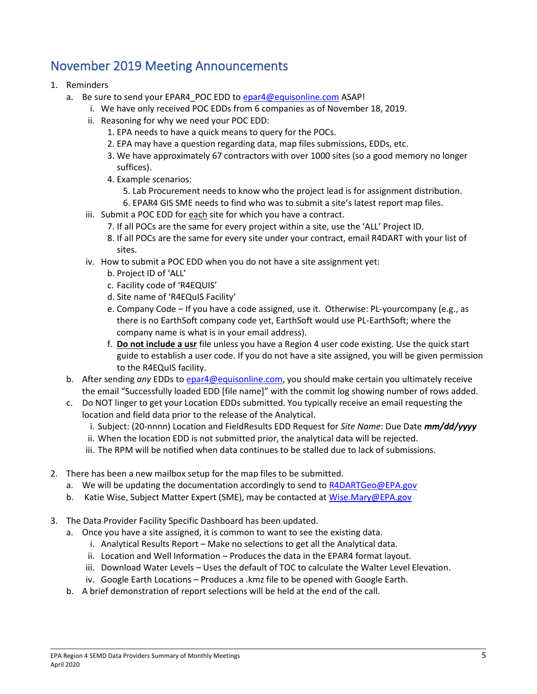### November 2019 Meeting Announcements

- 1. Reminders
	- a. Be sure to send your EPAR4 POC EDD to [epar4@equisonline.com](mailto:epar4@equisonline.com) ASAP!
		- i. We have only received POC EDDs from 6 companies as of November 18, 2019.
		- ii. Reasoning for why we need your POC EDD:
			- 1. EPA needs to have a quick means to query for the POCs.
			- 2. EPA may have a question regarding data, map files submissions, EDDs, etc.
			- 3. We have approximately 67 contractors with over 1000 sites (so a good memory no longer suffices).
			- 4. Example scenarios:
				- 5. Lab Procurement needs to know who the project lead is for assignment distribution.
			- 6. EPAR4 GIS SME needs to find who was to submit a site's latest report map files.
		- iii. Submit a POC EDD for each site for which you have a contract.
			- 7. If all POCs are the same for every project within a site, use the 'ALL' Project ID.
			- 8. If all POCs are the same for every site under your contract, email R4DART with your list of sites.
		- iv. How to submit a POC EDD when you do not have a site assignment yet:
			- b. Project ID of 'ALL'
			- c. Facility code of 'R4EQUIS'
			- d. Site name of 'R4EQuIS Facility'
			- e. Company Code If you have a code assigned, use it. Otherwise: PL-yourcompany (e.g., as there is no EarthSoft company code yet, EarthSoft would use PL-EarthSoft; where the company name is what is in your email address).
			- f. **Do not include a usr** file unless you have a Region 4 user code existing. Use the quick start guide to establish a user code. If you do not have a site assigned, you will be given permission to the R4EQuIS facility.
	- b. After sending *any* EDDs t[o epar4@equisonline.com,](mailto:epar4@equisonline.com) you should make certain you ultimately receive the email "Successfully loaded EDD [file name]" with the commit log showing number of rows added.
	- c. Do NOT linger to get your Location EDDs submitted. You typically receive an email requesting the location and field data prior to the release of the Analytical.
		- i. Subject: (20-nnnn) Location and FieldResults EDD Request for *Site Name*: Due Date *mm/dd/yyyy*
		- ii. When the location EDD is not submitted prior, the analytical data will be rejected.
		- iii. The RPM will be notified when data continues to be stalled due to lack of submissions.
- 2. There has been a new mailbox setup for the map files to be submitted.
	- a. We will be updating the documentation accordingly to send to [R4DARTGeo@EPA.gov](mailto:R4DARTGeo@EPA.gov)
	- b. Katie Wise, Subject Matter Expert (SME), may be contacted at [Wise.Mary@EPA.gov](mailto:Wise.Mary@EPA.gov)
- 3. The Data Provider Facility Specific Dashboard has been updated.
	- a. Once you have a site assigned, it is common to want to see the existing data.
		- i. Analytical Results Report Make no selections to get all the Analytical data.
		- ii. Location and Well Information Produces the data in the EPAR4 format layout.
		- iii. Download Water Levels Uses the default of TOC to calculate the Walter Level Elevation.
		- iv. Google Earth Locations Produces a .kmz file to be opened with Google Earth.
	- b. A brief demonstration of report selections will be held at the end of the call.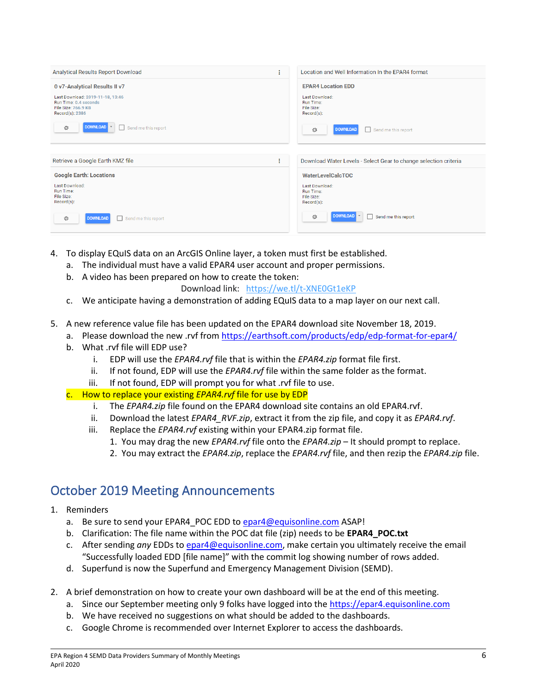| Analytical Results Report Download<br>÷                                                                    |  | Location and Well Information In the EPAR4 format                 |  |  |
|------------------------------------------------------------------------------------------------------------|--|-------------------------------------------------------------------|--|--|
| 0 v7-Analytical Results II v7                                                                              |  | <b>EPAR4 Location EDD</b>                                         |  |  |
| Last Download: 2019-11-18, 13:46<br>Run Time: 0.4 seconds<br><b>File Size: 766.9 KB</b><br>Record(s): 2386 |  | Last Download:<br>Run Time:<br>File Size:<br>$Record(s)$ :        |  |  |
| <b>DOWNLOAD</b><br>Send me this report<br>章                                                                |  | 登<br><b>DOWNLOAD</b><br>Send me this report<br>□                  |  |  |
|                                                                                                            |  |                                                                   |  |  |
| Retrieve a Google Earth KMZ file<br>÷                                                                      |  | Download Water Levels - Select Gear to change selection criteria  |  |  |
| <b>Google Earth: Locations</b>                                                                             |  | <b>WaterLevelCalcTOC</b>                                          |  |  |
| Last Download:<br><b>Run Time:</b><br>File Size:<br>Record(s):                                             |  | Last Download:<br><b>Run Time:</b><br>File Size:<br>$Record(s)$ : |  |  |
| <b>DOWNLOAD</b><br>Send me this report<br>章                                                                |  | <b>DOWNLOAD</b><br>登<br>Send me this report                       |  |  |

- 4. To display EQuIS data on an ArcGIS Online layer, a token must first be established.
	- a. The individual must have a valid EPAR4 user account and proper permissions.
	- b. A video has been prepared on how to create the token:
		- Download link: <https://we.tl/t-XNE0Gt1eKP>
	- c. We anticipate having a demonstration of adding EQuIS data to a map layer on our next call.
- 5. A new reference value file has been updated on the EPAR4 download site November 18, 2019.
	- a. Please download the new .rvf fro[m https://earthsoft.com/products/edp/edp-format-for-epar4/](https://earthsoft.com/products/edp/edp-format-for-epar4/)
	- b. What .rvf file will EDP use?
		- i. EDP will use the *EPAR4.rvf* file that is within the *EPAR4.zip* format file first.
		- ii. If not found, EDP will use the *EPAR4.rvf* file within the same folder as the format.
		- iii. If not found, EDP will prompt you for what .rvf file to use.
	- c. How to replace your existing *EPAR4.rvf* file for use by EDP
		- i. The *EPAR4.zip* file found on the EPAR4 download site contains an old EPAR4.rvf.
		- ii. Download the latest *EPAR4\_RVF.zip*, extract it from the zip file, and copy it as *EPAR4.rvf*.
		- iii. Replace the *EPAR4.rvf* existing within your EPAR4.zip format file.
			- 1. You may drag the new *EPAR4.rvf* file onto the *EPAR4.zip* It should prompt to replace.
			- 2. You may extract the *EPAR4.zip*, replace the *EPAR4.rvf* file, and then rezip the *EPAR4.zip* file.

### October 2019 Meeting Announcements

- 1. Reminders
	- a. Be sure to send your EPAR4 POC EDD to [epar4@equisonline.com](mailto:epar4@equisonline.com) ASAP!
	- b. Clarification: The file name within the POC dat file (zip) needs to be **EPAR4\_POC.txt**
	- c. After sending *any* EDDs t[o epar4@equisonline.com,](mailto:epar4@equisonline.com) make certain you ultimately receive the email "Successfully loaded EDD [file name]" with the commit log showing number of rows added.
	- d. Superfund is now the Superfund and Emergency Management Division (SEMD).
- 2. A brief demonstration on how to create your own dashboard will be at the end of this meeting.
	- a. Since our September meeting only 9 folks have logged into the [https://epar4.equisonline.com](https://epar4.equisonline.com/)
	- b. We have received no suggestions on what should be added to the dashboards.
	- c. Google Chrome is recommended over Internet Explorer to access the dashboards.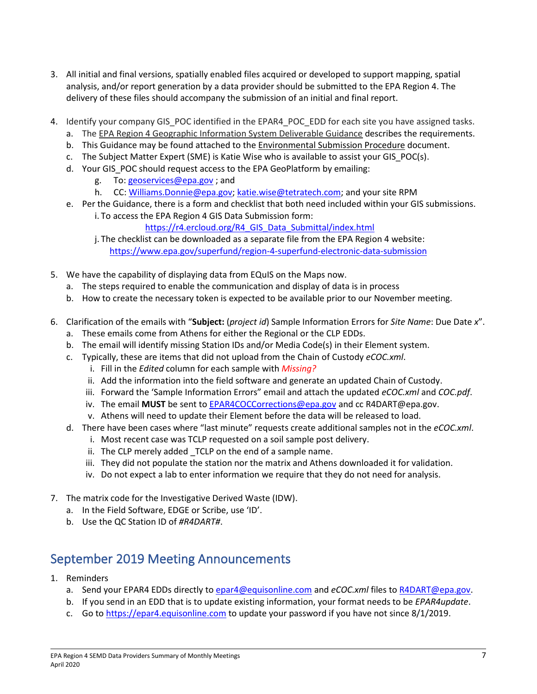- 3. All initial and final versions, spatially enabled files acquired or developed to support mapping, spatial analysis, and/or report generation by a data provider should be submitted to the EPA Region 4. The delivery of these files should accompany the submission of an initial and final report.
- 4. Identify your company GIS POC identified in the EPAR4 POC EDD for each site you have assigned tasks.
	- a. The EPA Region 4 Geographic Information System Deliverable Guidance describes the requirements.
	- b. This Guidance may be found attached to the Environmental Submission Procedure document.
	- c. The Subject Matter Expert (SME) is Katie Wise who is available to assist your GIS POC(s).
	- d. Your GIS POC should request access to the EPA GeoPlatform by emailing:
		- g. To: [geoservices@epa.gov](mailto:geoservices@epa.gov) ; and
		- h. CC: [Williams.Donnie@epa.gov;](mailto:Williams.Donnie@epa.gov) [katie.wise@tetratech.com;](mailto:katie.wise@tetratech.com) and your site RPM
	- e. Per the Guidance, there is a form and checklist that both need included within your GIS submissions. i. To access the EPA Region 4 GIS Data Submission form:
		- [https://r4.ercloud.org/R4\\_GIS\\_Data\\_Submittal/index.html](https://r4.ercloud.org/R4_GIS_Data_Submittal/index.html)
		- j. The checklist can be downloaded as a separate file from the EPA Region 4 website: <https://www.epa.gov/superfund/region-4-superfund-electronic-data-submission>
- 5. We have the capability of displaying data from EQuIS on the Maps now.
	- a. The steps required to enable the communication and display of data is in process
	- b. How to create the necessary token is expected to be available prior to our November meeting.
- 6. Clarification of the emails with "**Subject:** (*project id*) Sample Information Errors for *Site Name*: Due Date *x*".
	- a. These emails come from Athens for either the Regional or the CLP EDDs.
	- b. The email will identify missing Station IDs and/or Media Code(s) in their Element system.
	- c. Typically, these are items that did not upload from the Chain of Custody *eCOC.xml*.
		- i. Fill in the *Edited* column for each sample with *Missing?*
		- ii. Add the information into the field software and generate an updated Chain of Custody.
		- iii. Forward the 'Sample Information Errors" email and attach the updated *eCOC.xml* and *COC.pdf*.
		- iv. The email **MUST** be sent t[o EPAR4COCCorrections@epa.gov](mailto:EPAR4COCCorrections@epa.gov) and cc R4DART@epa.gov.
		- v. Athens will need to update their Element before the data will be released to load.
	- d. There have been cases where "last minute" requests create additional samples not in the *eCOC.xml*.
		- i. Most recent case was TCLP requested on a soil sample post delivery.
		- ii. The CLP merely added TCLP on the end of a sample name.
		- iii. They did not populate the station nor the matrix and Athens downloaded it for validation.
		- iv. Do not expect a lab to enter information we require that they do not need for analysis.
- 7. The matrix code for the Investigative Derived Waste (IDW).
	- a. In the Field Software, EDGE or Scribe, use 'ID'.
	- b. Use the QC Station ID of *#R4DART#*.

### September 2019 Meeting Announcements

- 1. Reminders
	- a. Send your EPAR4 EDDs directly to [epar4@equisonline.com](mailto:epar4@equisonline.com) and *eCOC.xml* files t[o R4DART@epa.gov.](mailto:r4dart@epa.gov)
	- b. If you send in an EDD that is to update existing information, your format needs to be *EPAR4update*.
	- c. Go to [https://epar4.equisonline.com](https://epar4.equisonline.com/) to update your password if you have not since 8/1/2019.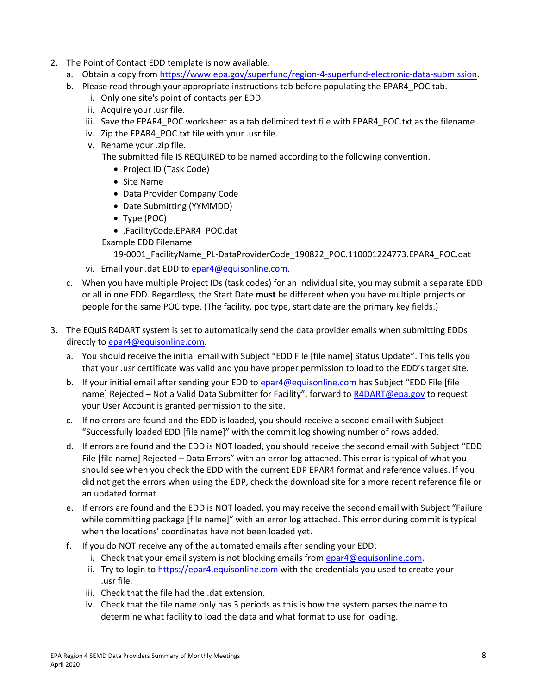- 2. The Point of Contact EDD template is now available.
	- a. Obtain a copy from [https://www.epa.gov/superfund/region-4-superfund-electronic-data-submission.](https://www.epa.gov/superfund/region-4-superfund-electronic-data-submission)
	- b. Please read through your appropriate instructions tab before populating the EPAR4\_POC tab.
		- i. Only one site's point of contacts per EDD.
		- ii. Acquire your .usr file.
		- iii. Save the EPAR4 POC worksheet as a tab delimited text file with EPAR4 POC.txt as the filename.
		- iv. Zip the EPAR4\_POC.txt file with your .usr file.
		- v. Rename your .zip file.

The submitted file IS REQUIRED to be named according to the following convention.

- Project ID (Task Code)
- Site Name
- Data Provider Company Code
- Date Submitting (YYMMDD)
- Type (POC)
- .FacilityCode.EPAR4\_POC.dat
- Example EDD Filename

```
19-0001_FacilityName_PL-DataProviderCode_190822_POC.110001224773.EPAR4_POC.dat
```
- vi. Email your .dat EDD to [epar4@equisonline.com.](mailto:epar4@equisonline.com)
- c. When you have multiple Project IDs (task codes) for an individual site, you may submit a separate EDD or all in one EDD. Regardless, the Start Date **must** be different when you have multiple projects or people for the same POC type. (The facility, poc type, start date are the primary key fields.)
- 3. The EQuIS R4DART system is set to automatically send the data provider emails when submitting EDDs directly t[o epar4@equisonline.com.](mailto:epar4@equisonline.com)
	- a. You should receive the initial email with Subject "EDD File [file name] Status Update". This tells you that your .usr certificate was valid and you have proper permission to load to the EDD's target site.
	- b. If your initial email after sending your EDD to [epar4@equisonline.com](mailto:epar4@equisonline.com) has Subject "EDD File [file name] Rejected – Not a Valid Data Submitter for Facility", forward to [R4DART@epa.gov](mailto:R4DART@epa.gov) to request your User Account is granted permission to the site.
	- c. If no errors are found and the EDD is loaded, you should receive a second email with Subject "Successfully loaded EDD [file name]" with the commit log showing number of rows added.
	- d. If errors are found and the EDD is NOT loaded, you should receive the second email with Subject "EDD File [file name] Rejected – Data Errors" with an error log attached. This error is typical of what you should see when you check the EDD with the current EDP EPAR4 format and reference values. If you did not get the errors when using the EDP, check the download site for a more recent reference file or an updated format.
	- e. If errors are found and the EDD is NOT loaded, you may receive the second email with Subject "Failure while committing package [file name]" with an error log attached. This error during commit is typical when the locations' coordinates have not been loaded yet.
	- f. If you do NOT receive any of the automated emails after sending your EDD:
		- i. Check that your email system is not blocking emails from  $e$ par4@equisonline.com.
		- ii. Try to login to [https://epar4.equisonline.com](https://epar4.equisonline.com/) with the credentials you used to create your .usr file.
		- iii. Check that the file had the .dat extension.
		- iv. Check that the file name only has 3 periods as this is how the system parses the name to determine what facility to load the data and what format to use for loading.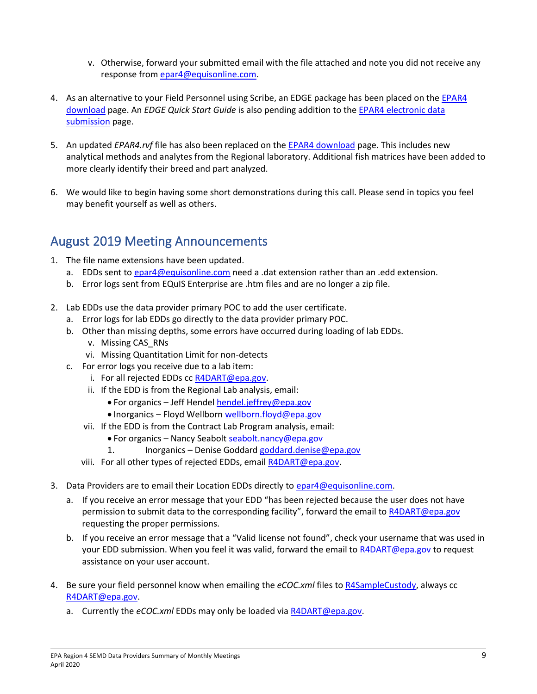- v. Otherwise, forward your submitted email with the file attached and note you did not receive any response fro[m epar4@equisonline.com.](mailto:epar4@equisonline.com)
- 4. As an alternative to your Field Personnel using Scribe, an EDGE package has been placed on the EPAR4 [download](https://earthsoft.com/products/edp/edp-format-for-epar4/) page. An *EDGE Quick Start Guide* is also pending addition to the [EPAR4 electronic data](https://www.epa.gov/superfund/region-4-superfund-electronic-data-submission)  [submission](https://www.epa.gov/superfund/region-4-superfund-electronic-data-submission) page.
- 5. An updated *EPAR4.rvf* file has also been replaced on the [EPAR4 download](https://earthsoft.com/products/edp/edp-format-for-epar4/) page. This includes new analytical methods and analytes from the Regional laboratory. Additional fish matrices have been added to more clearly identify their breed and part analyzed.
- 6. We would like to begin having some short demonstrations during this call. Please send in topics you feel may benefit yourself as well as others.

## August 2019 Meeting Announcements

- 1. The file name extensions have been updated.
	- a. EDDs sent to [epar4@equisonline.com](mailto:epar4@equisonline.com) need a .dat extension rather than an .edd extension.
	- b. Error logs sent from EQuIS Enterprise are .htm files and are no longer a zip file.
- 2. Lab EDDs use the data provider primary POC to add the user certificate.
	- a. Error logs for lab EDDs go directly to the data provider primary POC.
	- b. Other than missing depths, some errors have occurred during loading of lab EDDs. v. Missing CAS\_RNs
		- vi. Missing Quantitation Limit for non-detects
	- c. For error logs you receive due to a lab item:
		- i. For all rejected EDDs cc [R4DART@epa.gov.](mailto:R4DART@epa.gov)
		- ii. If the EDD is from the Regional Lab analysis, email:
			- For organics Jeff Hendel [hendel.jeffrey@epa.gov](mailto:hendel.jeffrey@epa.gov)
			- Inorganics Floyd Wellbor[n wellborn.floyd@epa.gov](mailto:wellborn.floyd@epa.gov)
		- vii. If the EDD is from the Contract Lab Program analysis, email:
			- For organics Nancy Seabolt [seabolt.nancy@epa.gov](mailto:Seabolt.nancy@epa.gov)
			- 1. Inorganics Denise Goddard [goddard.denise@epa.gov](mailto:goddard.denise@epa.gov)
		- viii. For all other types of rejected EDDs, emai[l R4DART@epa.gov.](mailto:R4DART@epa.gov)
- 3. Data Providers are to email their Location EDDs directly to [epar4@equisonline.com.](mailto:epar4@equisonline.com)
	- a. If you receive an error message that your EDD "has been rejected because the user does not have permission to submit data to the corresponding facility", forward the email t[o R4DART@epa.gov](mailto:R4DART@epa.gov) requesting the proper permissions.
	- b. If you receive an error message that a "Valid license not found", check your username that was used in your EDD submission. When you feel it was valid, forward the email to [R4DART@epa.gov](mailto:R4DART@epa.gov) to request assistance on your user account.
- 4. Be sure your field personnel know when emailing the *eCOC.xml* files to [R4SampleCustody,](mailto:R4SampleCustody@epa.gov) always cc [R4DART@epa.gov.](mailto:R4DART@epa.gov)
	- a. Currently the *eCOC.xml* EDDs may only be loaded vi[a R4DART@epa.gov.](mailto:R4DART@epa.gov)